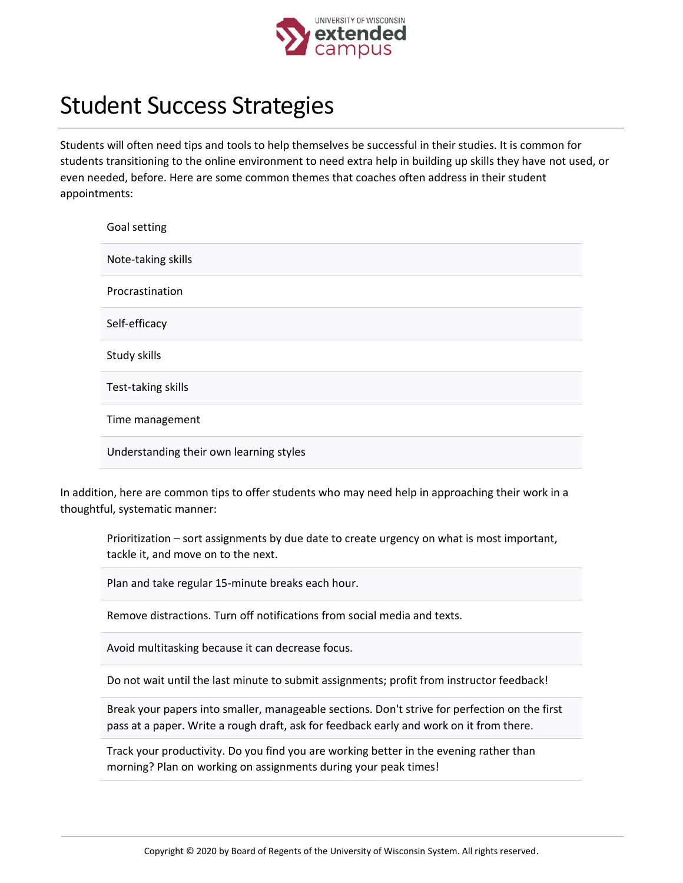

## Student Success Strategies

Students will often need tips and tools to help themselves be successful in their studies. It is common for students transitioning to the online environment to need extra help in building up skills they have not used, or even needed, before. Here are some common themes that coaches often address in their student appointments:

| Goal setting                            |
|-----------------------------------------|
| Note-taking skills                      |
| Procrastination                         |
| Self-efficacy                           |
| Study skills                            |
| Test-taking skills                      |
| Time management                         |
| Understanding their own learning styles |

In addition, here are common tips to offer students who may need help in approaching their work in a thoughtful, systematic manner:

Prioritization – sort assignments by due date to create urgency on what is most important, tackle it, and move on to the next.

Plan and take regular 15-minute breaks each hour.

Remove distractions. Turn off notifications from social media and texts.

Avoid multitasking because it can decrease focus.

Do not wait until the last minute to submit assignments; profit from instructor feedback!

Break your papers into smaller, manageable sections. Don't strive for perfection on the first pass at a paper. Write a rough draft, ask for feedback early and work on it from there.

Track your productivity. Do you find you are working better in the evening rather than morning? Plan on working on assignments during your peak times!